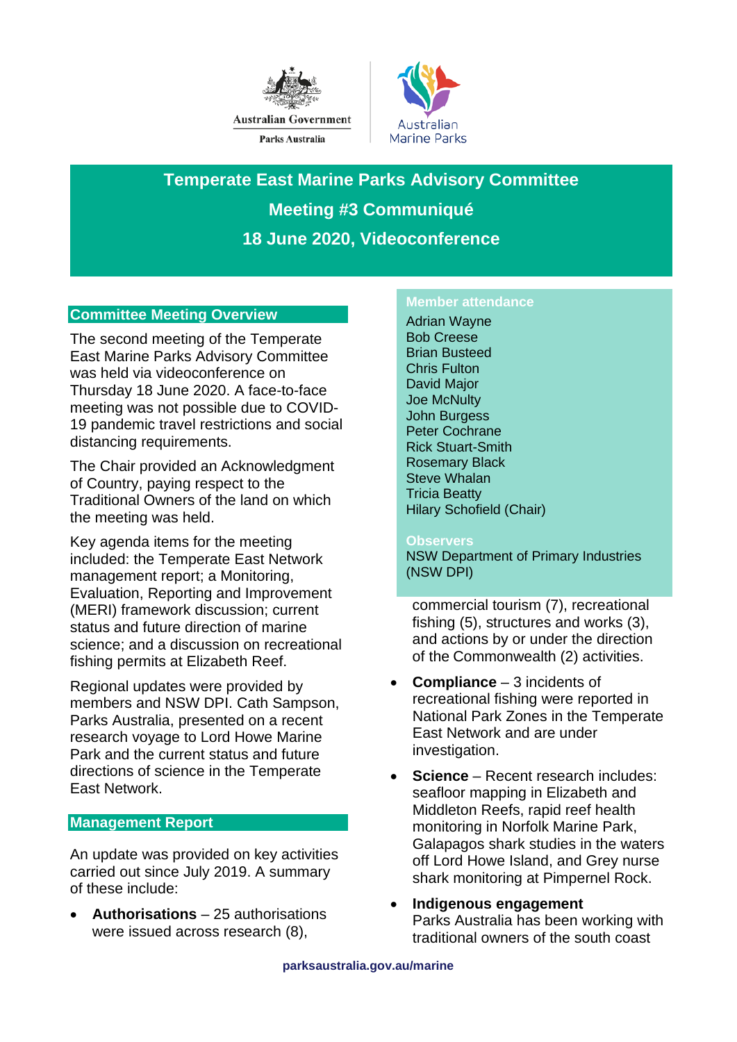



**Temperate East Marine Parks Advisory Committee Meeting #3 Communiqué 18 June 2020, Videoconference**

### **Committee Meeting Overview**

The second meeting of the Temperate East Marine Parks Advisory Committee was held via videoconference on Thursday 18 June 2020. A face-to-face meeting was not possible due to COVID-19 pandemic travel restrictions and social distancing requirements.

The Chair provided an Acknowledgment of Country, paying respect to the Traditional Owners of the land on which the meeting was held.

Key agenda items for the meeting included: the Temperate East Network management report; a Monitoring, Evaluation, Reporting and Improvement (MERI) framework discussion; current status and future direction of marine science; and a discussion on recreational fishing permits at Elizabeth Reef.

Regional updates were provided by members and NSW DPI. Cath Sampson, Parks Australia, presented on a recent research voyage to Lord Howe Marine Park and the current status and future directions of science in the Temperate East Network.

### **Management Report**

An update was provided on key activities carried out since July 2019. A summary of these include:

• **Authorisations** – 25 authorisations were issued across research (8),

#### **Member attendance**

Adrian Wayne Bob Creese Brian Busteed Chris Fulton David Major Joe McNulty John Burgess Peter Cochrane Rick Stuart-Smith Rosemary Black Steve Whalan Tricia Beatty Hilary Schofield (Chair)

#### **Observers**

NSW Department of Primary Industries (NSW DPI)

commercial tourism (7), recreational fishing (5), structures and works (3), and actions by or under the direction of the Commonwealth (2) activities.

- **Compliance**  3 incidents of recreational fishing were reported in National Park Zones in the Temperate East Network and are under investigation.
- **Science** Recent research includes: seafloor mapping in Elizabeth and Middleton Reefs, rapid reef health monitoring in Norfolk Marine Park, Galapagos shark studies in the waters off Lord Howe Island, and Grey nurse shark monitoring at Pimpernel Rock.
- **Indigenous engagement** Parks Australia has been working with traditional owners of the south coast